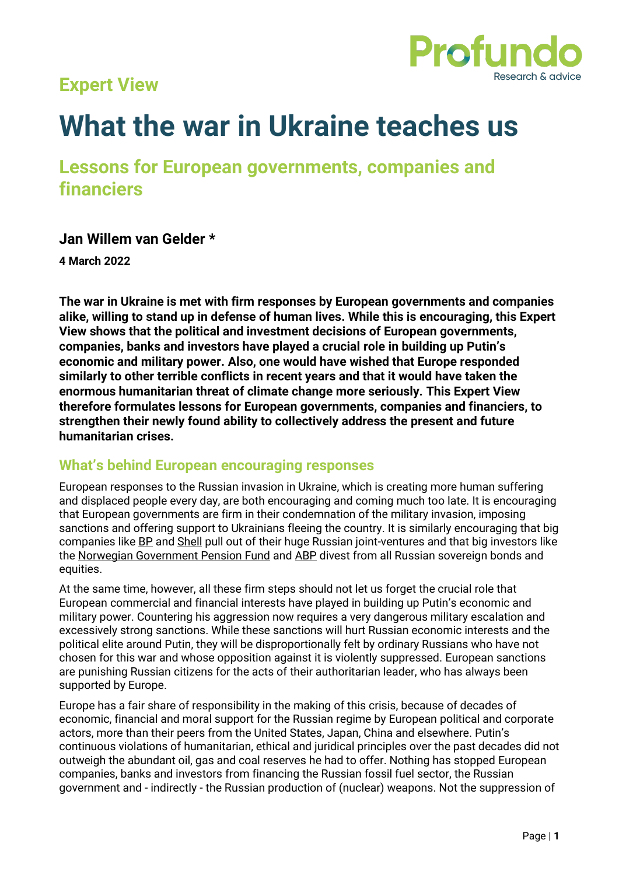# **Expert View**



# **What the war in Ukraine teaches us**

**Lessons for European governments, companies and financiers**

#### **Jan Willem van Gelder \***

**4 March 2022**

**The war in Ukraine is met with firm responses by European governments and companies alike, willing to stand up in defense of human lives. While this is encouraging, this Expert View shows that the political and investment decisions of European governments, companies, banks and investors have played a crucial role in building up Putin's economic and military power. Also, one would have wished that Europe responded similarly to other terrible conflicts in recent years and that it would have taken the enormous humanitarian threat of climate change more seriously. This Expert View therefore formulates lessons for European governments, companies and financiers, to strengthen their newly found ability to collectively address the present and future humanitarian crises.**

#### **What's behind European encouraging responses**

European responses to the Russian invasion in Ukraine, which is creating more human suffering and displaced people every day, are both encouraging and coming much too late. It is encouraging that European governments are firm in their condemnation of the military invasion, imposing sanctions and offering support to Ukrainians fleeing the country. It is similarly encouraging that big companies like [BP](https://www.bp.com/en/global/corporate/news-and-insights/press-releases/bp-to-exit-rosneft-shareholding.html) an[d Shell](https://www.reuters.com/business/energy/shell-exit-russia-operations-after-ukraine-invasion-2022-02-28/) pull out of their huge Russian joint-ventures and that big investors like the [Norwegian Government Pension Fund](https://www.regjeringen.no/en/aktuelt/norway-to-increase-support-to-ukraine-and-provide-military-equipment/id2902406/) and [ABP](https://www.abp.nl/over-abp/actueel/nieuws/abp-neemt-besluit-om-resterende-beleggingen-in-russische-bedrijven-te-verkopen.aspx) divest from all Russian sovereign bonds and equities.

At the same time, however, all these firm steps should not let us forget the crucial role that European commercial and financial interests have played in building up Putin's economic and military power. Countering his aggression now requires a very dangerous military escalation and excessively strong sanctions. While these sanctions will hurt Russian economic interests and the political elite around Putin, they will be disproportionally felt by ordinary Russians who have not chosen for this war and whose opposition against it is violently suppressed. European sanctions are punishing Russian citizens for the acts of their authoritarian leader, who has always been supported by Europe.

Europe has a fair share of responsibility in the making of this crisis, because of decades of economic, financial and moral support for the Russian regime by European political and corporate actors, more than their peers from the United States, Japan, China and elsewhere. Putin's continuous violations of humanitarian, ethical and juridical principles over the past decades did not outweigh the abundant oil, gas and coal reserves he had to offer. Nothing has stopped European companies, banks and investors from financing the Russian fossil fuel sector, the Russian government and - indirectly - the Russian production of (nuclear) weapons. Not the suppression of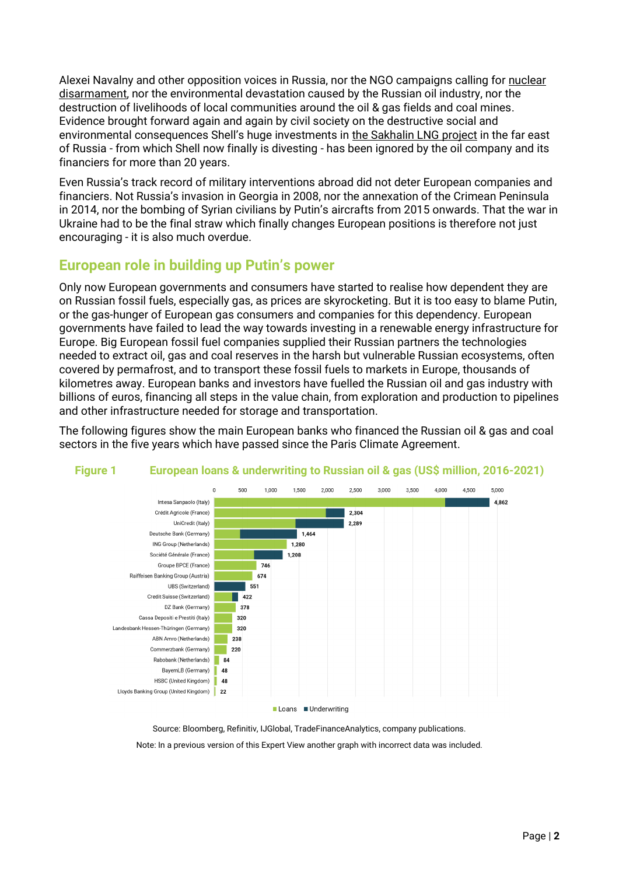Alexei Navalny and other opposition voices in Russia, nor the NGO campaigns calling for [nuclear](https://www.icanw.org/)  [disarmament,](https://www.icanw.org/) nor the environmental devastation caused by the Russian oil industry, nor the destruction of livelihoods of local communities around the oil & gas fields and coal mines. Evidence brought forward again and again by civil society on the destructive social and environmental consequences Shell's huge investments in [the Sakhalin LNG project](https://platformlondon.org/carbonweb/documents/Sakh-EP-analysis.pdf) in the far east of Russia - from which Shell now finally is divesting - has been ignored by the oil company and its financiers for more than 20 years.

Even Russia's track record of military interventions abroad did not deter European companies and financiers. Not Russia's invasion in Georgia in 2008, nor the annexation of the Crimean Peninsula in 2014, nor the bombing of Syrian civilians by Putin's aircrafts from 2015 onwards. That the war in Ukraine had to be the final straw which finally changes European positions is therefore not just encouraging - it is also much overdue.

## **European role in building up Putin's power**

Only now European governments and consumers have started to realise how dependent they are on Russian fossil fuels, especially gas, as prices are skyrocketing. But it is too easy to blame Putin, or the gas-hunger of European gas consumers and companies for this dependency. European governments have failed to lead the way towards investing in a renewable energy infrastructure for Europe. Big European fossil fuel companies supplied their Russian partners the technologies needed to extract oil, gas and coal reserves in the harsh but vulnerable Russian ecosystems, often covered by permafrost, and to transport these fossil fuels to markets in Europe, thousands of kilometres away. European banks and investors have fuelled the Russian oil and gas industry with billions of euros, financing all steps in the value chain, from exploration and production to pipelines and other infrastructure needed for storage and transportation.

The following figures show the main European banks who financed the Russian oil & gas and coal sectors in the five years which have passed since the Paris Climate Agreement.



## **Figure 1 European loans & underwriting to Russian oil & gas (US\$ million, 2016-2021)**

Source: Bloomberg, Refinitiv, IJGlobal, TradeFinanceAnalytics, company publications.

Note: In a previous version of this Expert View another graph with incorrect data was included.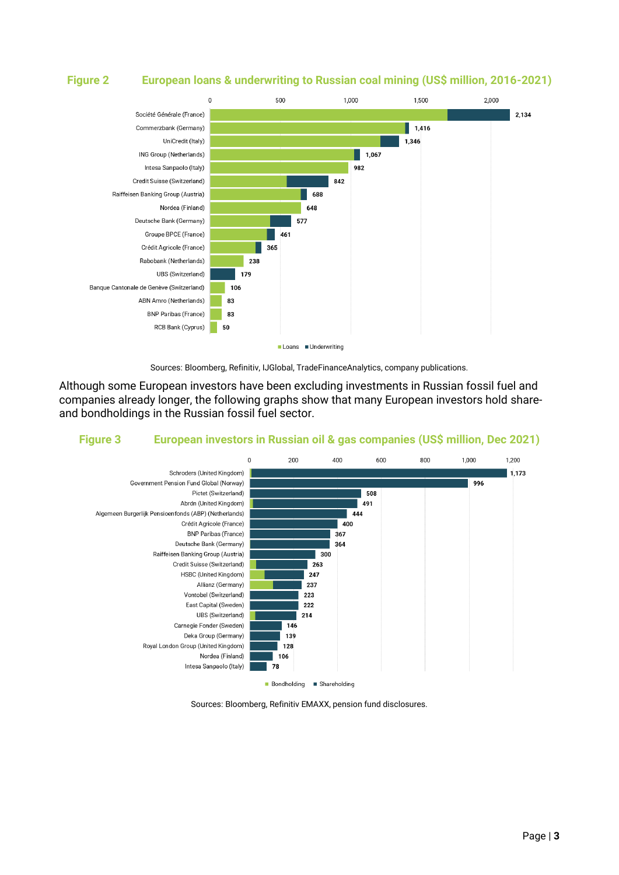#### **Figure 2 European loans & underwriting to Russian coal mining (US\$ million, 2016-2021)**





Although some European investors have been excluding investments in Russian fossil fuel and companies already longer, the following graphs show that many European investors hold shareand bondholdings in the Russian fossil fuel sector.

#### **Figure 3 European investors in Russian oil & gas companies (US\$ million, Dec 2021)**



Sources: Bloomberg, Refinitiv EMAXX, pension fund disclosures.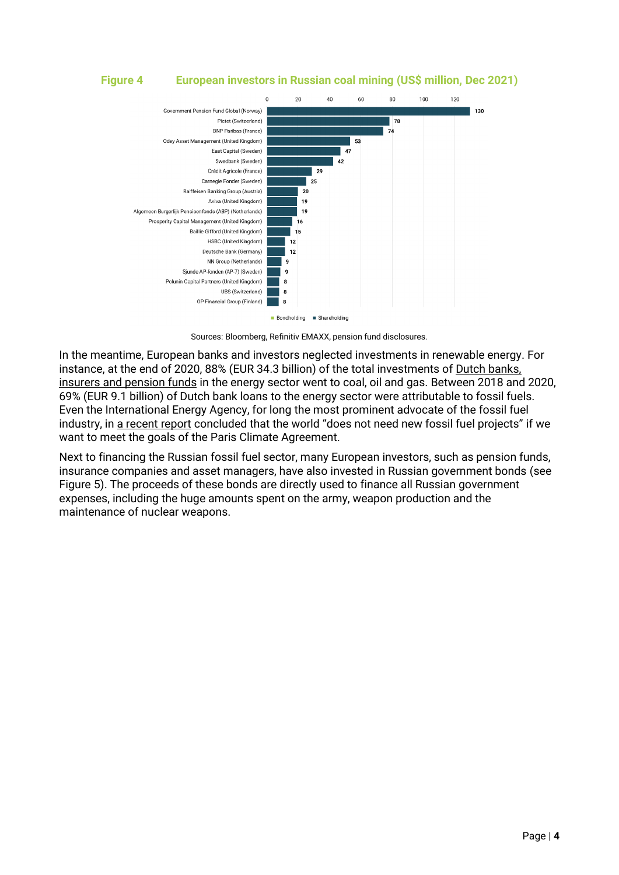## **Figure 4 European investors in Russian coal mining (US\$ million, Dec 2021)**



Sources: Bloomberg, Refinitiv EMAXX, pension fund disclosures.

In the meantime, European banks and investors neglected investments in renewable energy. For instance, at the end of 2020, 88% (EUR 34.3 billion) of the total investments of Dutch banks, [insurers and pension funds](https://www.profundo.nl/en/projects/fossil-fuel-versus-renewable-financing-by-financial-institutions-active-in-the-netherlands) in the energy sector went to coal, oil and gas. Between 2018 and 2020, 69% (EUR 9.1 billion) of Dutch bank loans to the energy sector were attributable to fossil fuels. Even the International Energy Agency, for long the most prominent advocate of the fossil fuel industry, in [a recent report](https://www.iea.org/reports/net-zero-by-2050) concluded that the world "does not need new fossil fuel projects" if we want to meet the goals of the Paris Climate Agreement.

Next to financing the Russian fossil fuel sector, many European investors, such as pension funds, insurance companies and asset managers, have also invested in Russian government bonds (see [Figure 5\)](#page-4-0). The proceeds of these bonds are directly used to finance all Russian government expenses, including the huge amounts spent on the army, weapon production and the maintenance of nuclear weapons.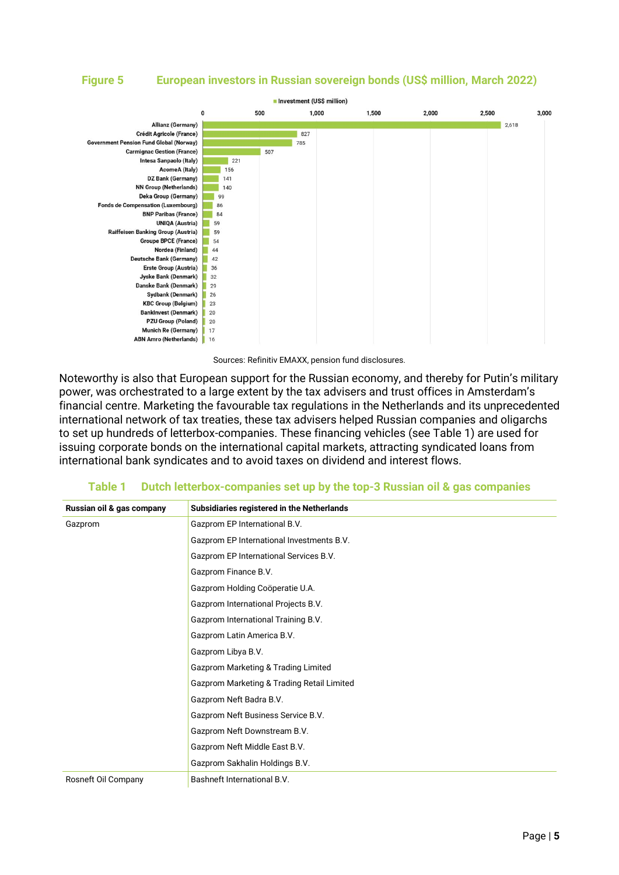#### <span id="page-4-0"></span>**Figure 5 European investors in Russian sovereign bonds (US\$ million, March 2022)**



Sources: Refinitiv EMAXX, pension fund disclosures.

Noteworthy is also that European support for the Russian economy, and thereby for Putin's military power, was orchestrated to a large extent by the tax advisers and trust offices in Amsterdam's financial centre. Marketing the favourable tax regulations in the Netherlands and its unprecedented international network of tax treaties, these tax advisers helped Russian companies and oligarchs to set up hundreds of letterbox-companies. These financing vehicles (see [Table 1\)](#page-4-1) are used for issuing corporate bonds on the international capital markets, attracting syndicated loans from international bank syndicates and to avoid taxes on dividend and interest flows.

#### **Table 1 Dutch letterbox-companies set up by the top-3 Russian oil & gas companies**

<span id="page-4-1"></span>

| Russian oil & gas company | Subsidiaries registered in the Netherlands     |
|---------------------------|------------------------------------------------|
| Gazprom                   | Gazprom EP International B.V.                  |
|                           | Gazprom EP International Investments B.V.      |
|                           | Gazprom EP International Services B.V.         |
|                           | Gazprom Finance B.V.                           |
|                           | Gazprom Holding Coöperatie U.A.                |
|                           | Gazprom International Projects B.V.            |
|                           | Gazprom International Training B.V.            |
|                           | Gazprom Latin America B.V.                     |
|                           | Gazprom Libya B.V.                             |
|                           | <b>Gazprom Marketing &amp; Trading Limited</b> |
|                           | Gazprom Marketing & Trading Retail Limited     |
|                           | Gazprom Neft Badra B.V.                        |
|                           | Gazprom Neft Business Service B.V.             |
|                           | Gazprom Neft Downstream B.V.                   |
|                           | Gazprom Neft Middle East B.V.                  |
|                           | Gazprom Sakhalin Holdings B.V.                 |
| Rosneft Oil Company       | Bashneft International B.V.                    |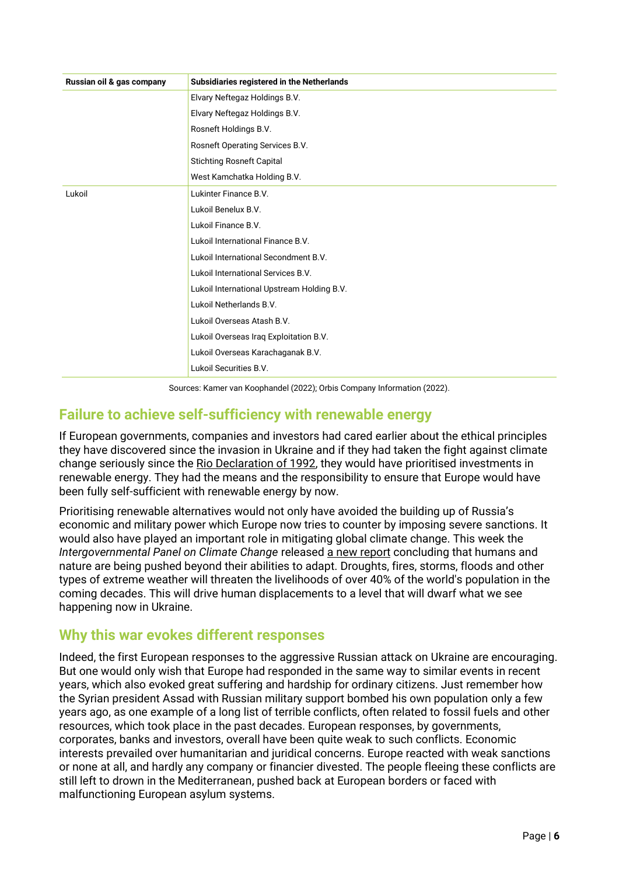| Russian oil & gas company | Subsidiaries registered in the Netherlands |
|---------------------------|--------------------------------------------|
|                           | Elvary Neftegaz Holdings B.V.              |
|                           | Elvary Neftegaz Holdings B.V.              |
|                           | Rosneft Holdings B.V.                      |
|                           | Rosneft Operating Services B.V.            |
|                           | <b>Stichting Rosneft Capital</b>           |
|                           | West Kamchatka Holding B.V.                |
| Lukoil                    | Lukinter Finance B.V.                      |
|                           | Lukoil Benelux B.V.                        |
|                           | Lukoil Finance B.V.                        |
|                           | Lukoil International Finance B.V.          |
|                           | Lukoil International Secondment B.V.       |
|                           | Lukoil International Services B.V.         |
|                           | Lukoil International Upstream Holding B.V. |
|                           | Lukoil Netherlands B.V.                    |
|                           | Lukoil Overseas Atash B.V.                 |
|                           | Lukoil Overseas Iraq Exploitation B.V.     |
|                           | Lukoil Overseas Karachaganak B.V.          |
|                           | Lukoil Securities B.V.                     |

Sources: Kamer van Koophandel (2022); Orbis Company Information (2022).

# **Failure to achieve self-sufficiency with renewable energy**

If European governments, companies and investors had cared earlier about the ethical principles they have discovered since the invasion in Ukraine and if they had taken the fight against climate change seriously since the [Rio Declaration of 1992,](https://www.un.org/en/development/desa/population/migration/generalassembly/docs/globalcompact/A_CONF.151_26_Vol.I_Declaration.pdf) they would have prioritised investments in renewable energy. They had the means and the responsibility to ensure that Europe would have been fully self-sufficient with renewable energy by now.

Prioritising renewable alternatives would not only have avoided the building up of Russia's economic and military power which Europe now tries to counter by imposing severe sanctions. It would also have played an important role in mitigating global climate change. This week the *Intergovernmental Panel on Climate Change* release[d a new report](https://www.ipcc.ch/report/sixth-assessment-report-working-group-ii/) concluding that humans and nature are being pushed beyond their abilities to adapt. Droughts, fires, storms, floods and other types of extreme weather will threaten the livelihoods of over 40% of the world's population in the coming decades. This will drive human displacements to a level that will dwarf what we see happening now in Ukraine.

# **Why this war evokes different responses**

Indeed, the first European responses to the aggressive Russian attack on Ukraine are encouraging. But one would only wish that Europe had responded in the same way to similar events in recent years, which also evoked great suffering and hardship for ordinary citizens. Just remember how the Syrian president Assad with Russian military support bombed his own population only a few years ago, as one example of a long list of terrible conflicts, often related to fossil fuels and other resources, which took place in the past decades. European responses, by governments, corporates, banks and investors, overall have been quite weak to such conflicts. Economic interests prevailed over humanitarian and juridical concerns. Europe reacted with weak sanctions or none at all, and hardly any company or financier divested. The people fleeing these conflicts are still left to drown in the Mediterranean, pushed back at European borders or faced with malfunctioning European asylum systems.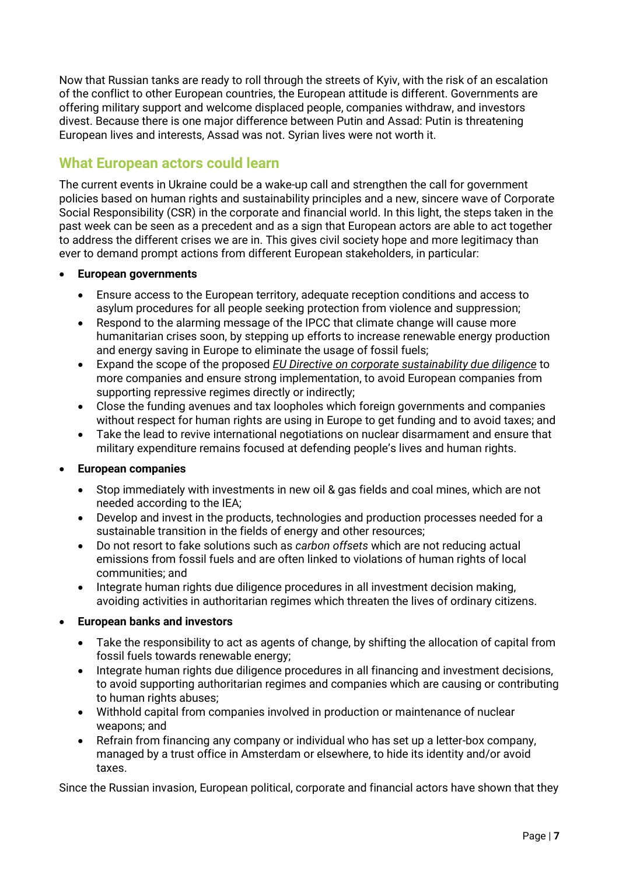Now that Russian tanks are ready to roll through the streets of Kyiv, with the risk of an escalation of the conflict to other European countries, the European attitude is different. Governments are offering military support and welcome displaced people, companies withdraw, and investors divest. Because there is one major difference between Putin and Assad: Putin is threatening European lives and interests, Assad was not. Syrian lives were not worth it.

# **What European actors could learn**

The current events in Ukraine could be a wake-up call and strengthen the call for government policies based on human rights and sustainability principles and a new, sincere wave of Corporate Social Responsibility (CSR) in the corporate and financial world. In this light, the steps taken in the past week can be seen as a precedent and as a sign that European actors are able to act together to address the different crises we are in. This gives civil society hope and more legitimacy than ever to demand prompt actions from different European stakeholders, in particular:

#### • **European governments**

- Ensure access to the European territory, adequate reception conditions and access to asylum procedures for all people seeking protection from violence and suppression;
- Respond to the alarming message of the IPCC that climate change will cause more humanitarian crises soon, by stepping up efforts to increase renewable energy production and energy saving in Europe to eliminate the usage of fossil fuels;
- Expand the scope of the proposed *[EU Directive on corporate sustainability due diligence](https://ec.europa.eu/commission/presscorner/detail/en/ip_22_1145)* to more companies and ensure strong implementation, to avoid European companies from supporting repressive regimes directly or indirectly;
- Close the funding avenues and tax loopholes which foreign governments and companies without respect for human rights are using in Europe to get funding and to avoid taxes; and
- Take the lead to revive international negotiations on nuclear disarmament and ensure that military expenditure remains focused at defending people's lives and human rights.

#### • **European companies**

- Stop immediately with investments in new oil & gas fields and coal mines, which are not needed according to the IEA;
- Develop and invest in the products, technologies and production processes needed for a sustainable transition in the fields of energy and other resources;
- Do not resort to fake solutions such as *carbon offsets* which are not reducing actual emissions from fossil fuels and are often linked to violations of human rights of local communities; and
- Integrate human rights due diligence procedures in all investment decision making, avoiding activities in authoritarian regimes which threaten the lives of ordinary citizens.

#### • **European banks and investors**

- Take the responsibility to act as agents of change, by shifting the allocation of capital from fossil fuels towards renewable energy;
- Integrate human rights due diligence procedures in all financing and investment decisions, to avoid supporting authoritarian regimes and companies which are causing or contributing to human rights abuses;
- Withhold capital from companies involved in production or maintenance of nuclear weapons; and
- Refrain from financing any company or individual who has set up a letter-box company, managed by a trust office in Amsterdam or elsewhere, to hide its identity and/or avoid taxes.

Since the Russian invasion, European political, corporate and financial actors have shown that they